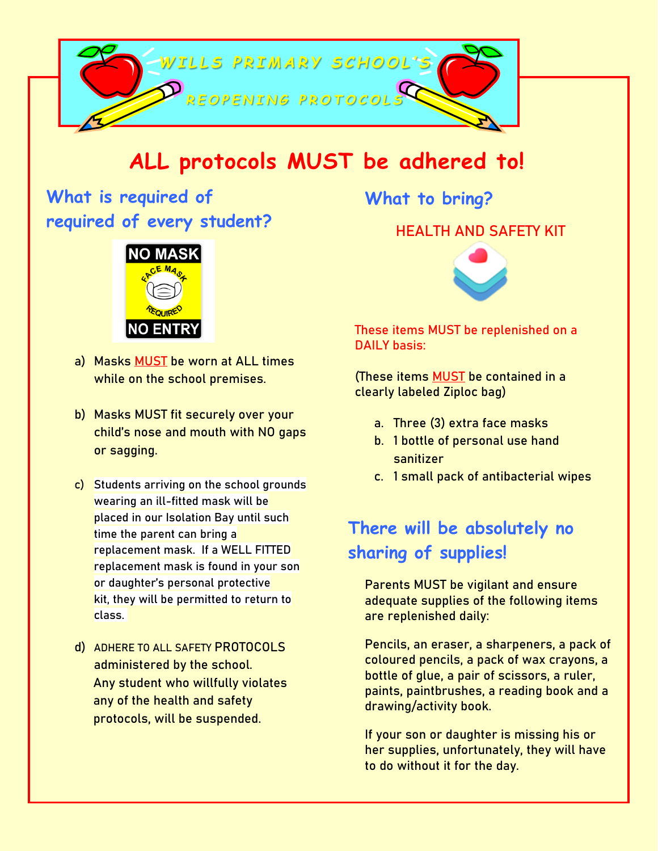

# **ALL protocols MUST be adhered to!**

**What is required of required of every student?** 



- **a) Masks MUST be worn at ALL times while on the school premises.**
- **b) Masks MUST fit securely over your child's nose and mouth with NO gaps or sagging.**
- **c) Students arriving on the school grounds wearing an ill-fitted mask will be placed in our Isolation Bay until such time the parent can bring a replacement mask. If a WELL FITTED replacement mask is found in your son or daughter's personal protective kit, they will be permitted to return to class.**
- **d) ADHERE TO ALL SAFETY PROTOCOLS administered by the school. Any student who willfully violates any of the health and safety protocols, will be suspended.**

**What to bring?** 

#### **HEALTH AND SAFETY KIT**



**These items MUST be replenished on a DAILY basis:**

**(These items MUST be contained in a clearly labeled Ziploc bag)**

- **a. Three (3) extra face masks**
- **b. 1 bottle of personal use hand sanitizer**
- **c. 1 small pack of antibacterial wipes**

## **There will be absolutely no sharing of supplies!**

**Parents MUST be vigilant and ensure adequate supplies of the following items are replenished daily:** 

**Pencils, an eraser, a sharpeners, a pack of coloured pencils, a pack of wax crayons, a bottle of glue, a pair of scissors, a ruler, paints, paintbrushes, a reading book and a drawing/activity book.**

**If your son or daughter is missing his or her supplies, unfortunately, they will have to do without it for the day.**